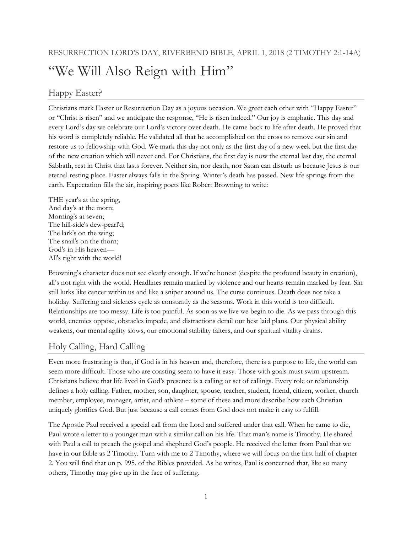# "We Will Also Reign with Him"

# Happy Easter?

Christians mark Easter or Resurrection Day as a joyous occasion. We greet each other with "Happy Easter" or "Christ is risen" and we anticipate the response, "He is risen indeed." Our joy is emphatic. This day and every Lord's day we celebrate our Lord's victory over death. He came back to life after death. He proved that his word is completely reliable. He validated all that he accomplished on the cross to remove our sin and restore us to fellowship with God. We mark this day not only as the first day of a new week but the first day of the new creation which will never end. For Christians, the first day is now the eternal last day, the eternal Sabbath, rest in Christ that lasts forever. Neither sin, nor death, nor Satan can disturb us because Jesus is our eternal resting place. Easter always falls in the Spring. Winter's death has passed. New life springs from the earth. Expectation fills the air, inspiring poets like Robert Browning to write:

THE year's at the spring, And day's at the morn; Morning's at seven; The hill-side's dew-pearl'd; The lark's on the wing; The snail's on the thorn; God's in His heaven— All's right with the world!

Browning's character does not see clearly enough. If we're honest (despite the profound beauty in creation), all's not right with the world. Headlines remain marked by violence and our hearts remain marked by fear. Sin still lurks like cancer within us and like a sniper around us. The curse continues. Death does not take a holiday. Suffering and sickness cycle as constantly as the seasons. Work in this world is too difficult. Relationships are too messy. Life is too painful. As soon as we live we begin to die. As we pass through this world, enemies oppose, obstacles impede, and distractions derail our best laid plans. Our physical ability weakens, our mental agility slows, our emotional stability falters, and our spiritual vitality drains.

## Holy Calling, Hard Calling

Even more frustrating is that, if God is in his heaven and, therefore, there is a purpose to life, the world can seem more difficult. Those who are coasting seem to have it easy. Those with goals must swim upstream. Christians believe that life lived in God's presence is a calling or set of callings. Every role or relationship defines a holy calling. Father, mother, son, daughter, spouse, teacher, student, friend, citizen, worker, church member, employee, manager, artist, and athlete – some of these and more describe how each Christian uniquely glorifies God. But just because a call comes from God does not make it easy to fulfill.

The Apostle Paul received a special call from the Lord and suffered under that call. When he came to die, Paul wrote a letter to a younger man with a similar call on his life. That man's name is Timothy. He shared with Paul a call to preach the gospel and shepherd God's people. He received the letter from Paul that we have in our Bible as 2 Timothy. Turn with me to 2 Timothy, where we will focus on the first half of chapter 2. You will find that on p. 995. of the Bibles provided. As he writes, Paul is concerned that, like so many others, Timothy may give up in the face of suffering.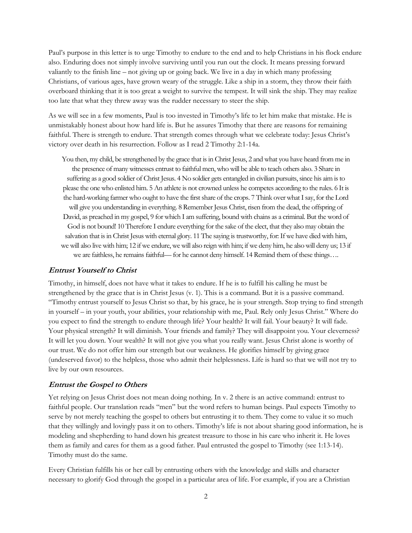Paul's purpose in this letter is to urge Timothy to endure to the end and to help Christians in his flock endure also. Enduring does not simply involve surviving until you run out the clock. It means pressing forward valiantly to the finish line – not giving up or going back. We live in a day in which many professing Christians, of various ages, have grown weary of the struggle. Like a ship in a storm, they throw their faith overboard thinking that it is too great a weight to survive the tempest. It will sink the ship. They may realize too late that what they threw away was the rudder necessary to steer the ship.

As we will see in a few moments, Paul is too invested in Timothy's life to let him make that mistake. He is unmistakably honest about how hard life is. But he assures Timothy that there are reasons for remaining faithful. There is strength to endure. That strength comes through what we celebrate today: Jesus Christ's victory over death in his resurrection. Follow as I read 2 Timothy 2:1-14a.

You then, my child, be strengthened by the grace that is in Christ Jesus, 2 and what you have heard from me in the presence of many witnesses entrust to faithful men, who will be able to teach others also. 3 Share in suffering as a good soldier of Christ Jesus. 4 No soldier gets entangled in civilian pursuits, since his aim is to please the one who enlisted him. 5 An athlete is not crowned unless he competes according to the rules. 6 It is the hard-working farmer who ought to have the first share of the crops. 7 Think over what I say, for the Lord will give you understanding in everything. 8 Remember Jesus Christ, risen from the dead, the offspring of David, as preached in my gospel, 9 for which I am suffering, bound with chains as a criminal. But the word of God is not bound! 10 Therefore I endure everything for the sake of the elect, that they also may obtain the salvation that is in Christ Jesus with eternal glory. 11 The saying is trustworthy, for: If we have died with him, we will also live with him; 12 if we endure, we will also reign with him; if we deny him, he also will deny us; 13 if we are faithless, he remains faithful— for he cannot deny himself. 14 Remind them of these things….

#### **Entrust Yourself to Christ**

Timothy, in himself, does not have what it takes to endure. If he is to fulfill his calling he must be strengthened by the grace that is in Christ Jesus (v. 1). This is a command. But it is a passive command. "Timothy entrust yourself to Jesus Christ so that, by his grace, he is your strength. Stop trying to find strength in yourself – in your youth, your abilities, your relationship with me, Paul. Rely only Jesus Christ." Where do you expect to find the strength to endure through life? Your health? It will fail. Your beauty? It will fade. Your physical strength? It will diminish. Your friends and family? They will disappoint you. Your cleverness? It will let you down. Your wealth? It will not give you what you really want. Jesus Christ alone is worthy of our trust. We do not offer him our strength but our weakness. He glorifies himself by giving grace (undeserved favor) to the helpless, those who admit their helplessness. Life is hard so that we will not try to live by our own resources.

#### **Entrust the Gospel to Others**

Yet relying on Jesus Christ does not mean doing nothing. In v. 2 there is an active command: entrust to faithful people. Our translation reads "men" but the word refers to human beings. Paul expects Timothy to serve by not merely teaching the gospel to others but entrusting it to them. They come to value it so much that they willingly and lovingly pass it on to others. Timothy's life is not about sharing good information, he is modeling and shepherding to hand down his greatest treasure to those in his care who inherit it. He loves them as family and cares for them as a good father. Paul entrusted the gospel to Timothy (see 1:13-14). Timothy must do the same.

Every Christian fulfills his or her call by entrusting others with the knowledge and skills and character necessary to glorify God through the gospel in a particular area of life. For example, if you are a Christian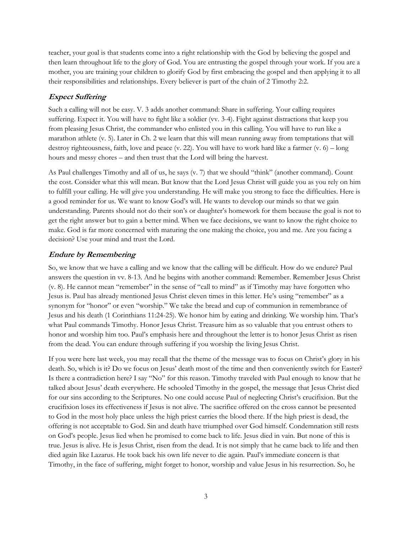teacher, your goal is that students come into a right relationship with the God by believing the gospel and then learn throughout life to the glory of God. You are entrusting the gospel through your work. If you are a mother, you are training your children to glorify God by first embracing the gospel and then applying it to all their responsibilities and relationships. Every believer is part of the chain of 2 Timothy 2:2.

## **Expect Suffering**

Such a calling will not be easy. V. 3 adds another command: Share in suffering. Your calling requires suffering. Expect it. You will have to fight like a soldier (vv. 3-4). Fight against distractions that keep you from pleasing Jesus Christ, the commander who enlisted you in this calling. You will have to run like a marathon athlete (v. 5). Later in Ch. 2 we learn that this will mean running away from temptations that will destroy righteousness, faith, love and peace (v. 22). You will have to work hard like a farmer (v. 6) – long hours and messy chores – and then trust that the Lord will bring the harvest.

As Paul challenges Timothy and all of us, he says (v. 7) that we should "think" (another command). Count the cost. Consider what this will mean. But know that the Lord Jesus Christ will guide you as you rely on him to fulfill your calling. He will give you understanding. He will make you strong to face the difficulties. Here is a good reminder for us. We want to know God's will. He wants to develop our minds so that we gain understanding. Parents should not do their son's or daughter's homework for them because the goal is not to get the right answer but to gain a better mind. When we face decisions, we want to know the right choice to make. God is far more concerned with maturing the one making the choice, you and me. Are you facing a decision? Use your mind and trust the Lord.

### **Endure by Remembering**

So, we know that we have a calling and we know that the calling will be difficult. How do we endure? Paul answers the question in vv. 8-13. And he begins with another command: Remember. Remember Jesus Christ (v. 8). He cannot mean "remember" in the sense of "call to mind" as if Timothy may have forgotten who Jesus is. Paul has already mentioned Jesus Christ eleven times in this letter. He's using "remember" as a synonym for "honor" or even "worship." We take the bread and cup of communion in remembrance of Jesus and his death (1 Corinthians 11:24-25). We honor him by eating and drinking. We worship him. That's what Paul commands Timothy. Honor Jesus Christ. Treasure him as so valuable that you entrust others to honor and worship him too. Paul's emphasis here and throughout the letter is to honor Jesus Christ as risen from the dead. You can endure through suffering if you worship the living Jesus Christ.

If you were here last week, you may recall that the theme of the message was to focus on Christ's glory in his death. So, which is it? Do we focus on Jesus' death most of the time and then conveniently switch for Easter? Is there a contradiction here? I say "No" for this reason. Timothy traveled with Paul enough to know that he talked about Jesus' death everywhere. He schooled Timothy in the gospel, the message that Jesus Christ died for our sins according to the Scriptures. No one could accuse Paul of neglecting Christ's crucifixion. But the crucifixion loses its effectiveness if Jesus is not alive. The sacrifice offered on the cross cannot be presented to God in the most holy place unless the high priest carries the blood there. If the high priest is dead, the offering is not acceptable to God. Sin and death have triumphed over God himself. Condemnation still rests on God's people. Jesus lied when he promised to come back to life. Jesus died in vain. But none of this is true. Jesus is alive. He is Jesus Christ, risen from the dead. It is not simply that he came back to life and then died again like Lazarus. He took back his own life never to die again. Paul's immediate concern is that Timothy, in the face of suffering, might forget to honor, worship and value Jesus in his resurrection. So, he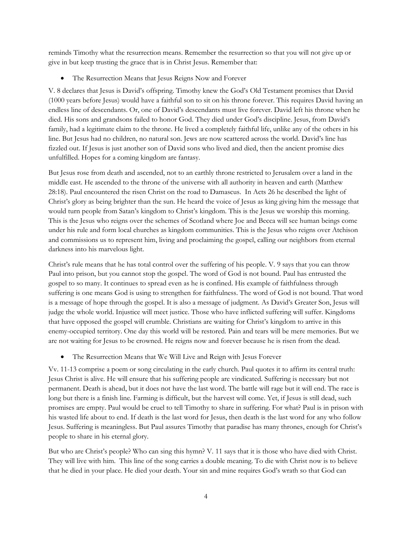reminds Timothy what the resurrection means. Remember the resurrection so that you will not give up or give in but keep trusting the grace that is in Christ Jesus. Remember that:

The Resurrection Means that Jesus Reigns Now and Forever

V. 8 declares that Jesus is David's offspring. Timothy knew the God's Old Testament promises that David (1000 years before Jesus) would have a faithful son to sit on his throne forever. This requires David having an endless line of descendants. Or, one of David's descendants must live forever. David left his throne when he died. His sons and grandsons failed to honor God. They died under God's discipline. Jesus, from David's family, had a legitimate claim to the throne. He lived a completely faithful life, unlike any of the others in his line. But Jesus had no children, no natural son. Jews are now scattered across the world. David's line has fizzled out. If Jesus is just another son of David sons who lived and died, then the ancient promise dies unfulfilled. Hopes for a coming kingdom are fantasy.

But Jesus rose from death and ascended, not to an earthly throne restricted to Jerusalem over a land in the middle east. He ascended to the throne of the universe with all authority in heaven and earth (Matthew 28:18). Paul encountered the risen Christ on the road to Damascus. In Acts 26 he described the light of Christ's glory as being brighter than the sun. He heard the voice of Jesus as king giving him the message that would turn people from Satan's kingdom to Christ's kingdom. This is the Jesus we worship this morning. This is the Jesus who reigns over the schemes of Scotland where Joe and Becca will see human beings come under his rule and form local churches as kingdom communities. This is the Jesus who reigns over Atchison and commissions us to represent him, living and proclaiming the gospel, calling our neighbors from eternal darkness into his marvelous light.

Christ's rule means that he has total control over the suffering of his people. V. 9 says that you can throw Paul into prison, but you cannot stop the gospel. The word of God is not bound. Paul has entrusted the gospel to so many. It continues to spread even as he is confined. His example of faithfulness through suffering is one means God is using to strengthen for faithfulness. The word of God is not bound. That word is a message of hope through the gospel. It is also a message of judgment. As David's Greater Son, Jesus will judge the whole world. Injustice will meet justice. Those who have inflicted suffering will suffer. Kingdoms that have opposed the gospel will crumble. Christians are waiting for Christ's kingdom to arrive in this enemy-occupied territory. One day this world will be restored. Pain and tears will be mere memories. But we are not waiting for Jesus to be crowned. He reigns now and forever because he is risen from the dead.

• The Resurrection Means that We Will Live and Reign with Jesus Forever

Vv. 11-13 comprise a poem or song circulating in the early church. Paul quotes it to affirm its central truth: Jesus Christ is alive. He will ensure that his suffering people are vindicated. Suffering is necessary but not permanent. Death is ahead, but it does not have the last word. The battle will rage but it will end. The race is long but there is a finish line. Farming is difficult, but the harvest will come. Yet, if Jesus is still dead, such promises are empty. Paul would be cruel to tell Timothy to share in suffering. For what? Paul is in prison with his wasted life about to end. If death is the last word for Jesus, then death is the last word for any who follow Jesus. Suffering is meaningless. But Paul assures Timothy that paradise has many thrones, enough for Christ's people to share in his eternal glory.

But who are Christ's people? Who can sing this hymn? V. 11 says that it is those who have died with Christ. They will live with him. This line of the song carries a double meaning. To die with Christ now is to believe that he died in your place. He died your death. Your sin and mine requires God's wrath so that God can